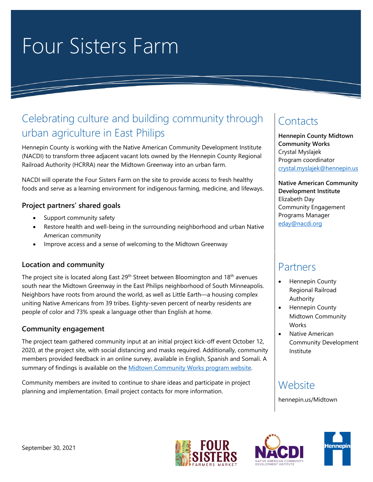# Four Sisters Farm

### Celebrating culture and building community through urban agriculture in East Philips

Hennepin County is working with the Native American Community Development Institute (NACDI) to transform three adjacent vacant lots owned by the Hennepin County Regional Railroad Authority (HCRRA) near the Midtown Greenway into an urban farm.

NACDI will operate the Four Sisters Farm on the site to provide access to fresh healthy foods and serve as a learning environment for indigenous farming, medicine, and lifeways.

### **Project partners' shared goals**

- Support community safety
- Restore health and well-being in the surrounding neighborhood and urban Native American community
- Improve access and a sense of welcoming to the Midtown Greenway

### **Location and community**

The project site is located along East 29<sup>th</sup> Street between Bloomington and 18<sup>th</sup> avenues south near the Midtown Greenway in the East Philips neighborhood of South Minneapolis. Neighbors have roots from around the world, as well as Little Earth—a housing complex uniting Native Americans from 39 tribes. Eighty-seven percent of nearby residents are people of color and 73% speak a language other than English at home.

### **Community engagement**

The project team gathered community input at an initial project kick-off event October 12, 2020, at the project site, with social distancing and masks required. Additionally, community members provided feedback in an online survey, available in English, Spanish and Somali. A summary of findings is available on the [Midtown Community Works program website.](file://hcgg/lobroot/adxx/team/hed/2CED/Midtown%20CW/E%2029th%20Street/Site%20Design/community%20engagement/hennepin.us/Midtown)

Community members are invited to continue to share ideas and participate in project planning and implementation. Email project contacts for more information.

## **Contacts**

**Hennepin County Midtown Community Works** Crystal Myslajek Program coordinator [crystal.myslajek@hennepin.us](mailto:crystal.myslajek@hennepin.us)

**Native American Community Development Institute** Elizabeth Day Community Engagement Programs Manager [eday@nacdi.org](mailto:eday@nacdi.org)

### Partners

- Hennepin County Regional Railroad Authority
- Hennepin County Midtown Community **Works**
- Native American Community Development Institute

### **Website**

hennepin.us/Midtown